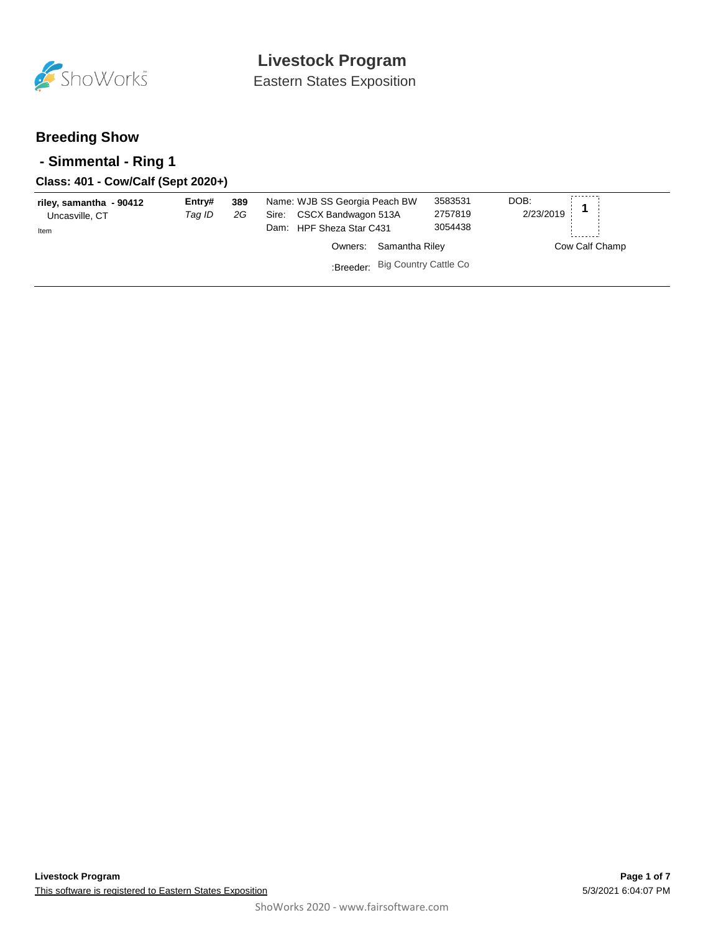

Eastern States Exposition

### **Breeding Show**

### **- Simmental - Ring 1**

### **Class: 401 - Cow/Calf (Sept 2020+)**

| riley, samantha - 90412<br>Uncasville, CT<br>Item | Entry#<br>Taq ID | 389<br>2G | Name: WJB SS Georgia Peach BW<br>CSCX Bandwagon 513A<br>Sire:<br>Dam: HPF Sheza Star C431 |                                 | DOB:<br>3583531<br>2/23/2019<br>2757819<br>3054438 |                |
|---------------------------------------------------|------------------|-----------|-------------------------------------------------------------------------------------------|---------------------------------|----------------------------------------------------|----------------|
|                                                   |                  |           | Owners:                                                                                   | Samantha Riley                  |                                                    | Cow Calf Champ |
|                                                   |                  |           |                                                                                           | :Breeder: Big Country Cattle Co |                                                    |                |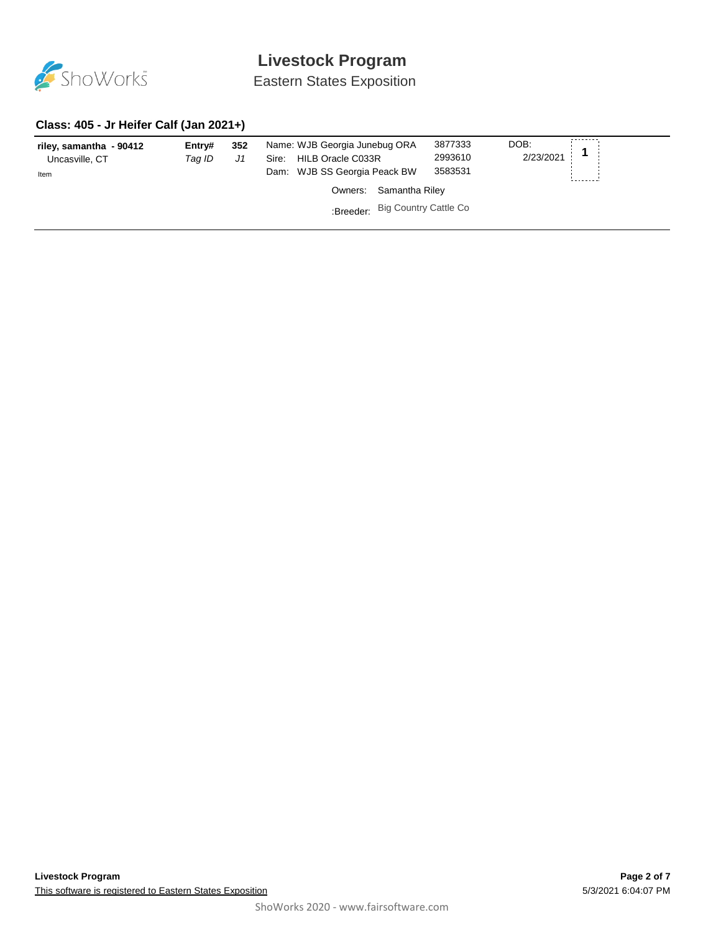

Eastern States Exposition

#### **Class: 405 - Jr Heifer Calf (Jan 2021+)**

| riley, samantha - 90412<br>Uncasville, CT<br>Item | Entry#<br>Taq ID | 352<br>J1 | Name: WJB Georgia Junebug ORA<br>HILB Oracle C033R<br>Sire:<br>Dam: WJB SS Georgia Peack BW | 3877333<br>2993610<br>3583531 | DOB:<br>2/23/2021 |
|---------------------------------------------------|------------------|-----------|---------------------------------------------------------------------------------------------|-------------------------------|-------------------|
|                                                   |                  |           | Samantha Riley<br>Owners:                                                                   |                               |                   |
|                                                   |                  |           | :Breeder: Big Country Cattle Co                                                             |                               |                   |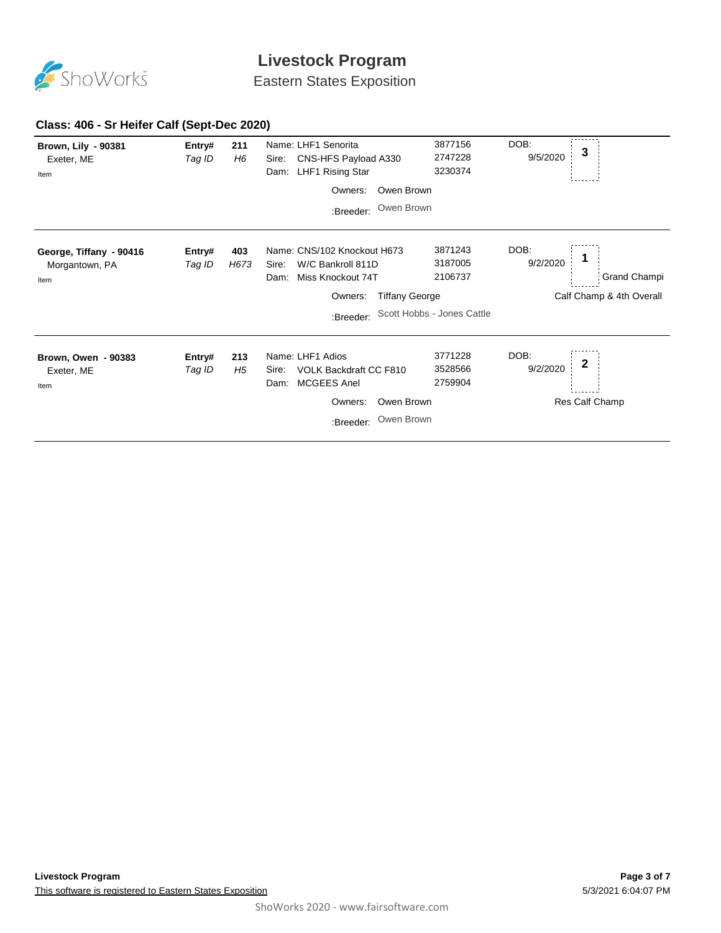

Eastern States Exposition

### **Class: 406 - Sr Heifer Calf (Sept-Dec 2020)**

| <b>Brown, Lily - 90381</b><br>Exeter, ME<br>Item  | Entry#<br>Tag ID | 211<br>H6   | Name: LHF1 Senorita<br>CNS-HFS Payload A330<br>Sire:<br>LHF1 Rising Star<br>Dam:       | 3877156<br>2747228<br>3230374 | DOB:<br>9/5/2020 | 3                        |
|---------------------------------------------------|------------------|-------------|----------------------------------------------------------------------------------------|-------------------------------|------------------|--------------------------|
|                                                   |                  |             | Owners:                                                                                | Owen Brown                    |                  |                          |
|                                                   |                  |             | :Breeder:                                                                              | Owen Brown                    |                  |                          |
| George, Tiffany - 90416<br>Morgantown, PA<br>Item | Entry#<br>Tag ID | 403<br>H673 | Name: CNS/102 Knockout H673<br>W/C Bankroll 811D<br>Sire:<br>Miss Knockout 74T<br>Dam: | 3871243<br>3187005<br>2106737 | DOB:<br>9/2/2020 | Grand Champi             |
|                                                   |                  |             | Owners:                                                                                | <b>Tiffany George</b>         |                  | Calf Champ & 4th Overall |
|                                                   |                  |             | :Breeder:                                                                              | Scott Hobbs - Jones Cattle    |                  |                          |
| Brown, Owen - 90383<br>Exeter, ME<br>Item         | Entry#<br>Tag ID | 213<br>H5   | Name: LHF1 Adios<br>VOLK Backdraft CC F810<br>Sire:<br><b>MCGEES Anel</b><br>Dam:      | 3771228<br>3528566<br>2759904 | DOB:<br>9/2/2020 | $\boldsymbol{2}$         |
|                                                   |                  |             | Owners:                                                                                | Owen Brown                    |                  | Res Calf Champ           |
|                                                   |                  |             | :Breeder:                                                                              | Owen Brown                    |                  |                          |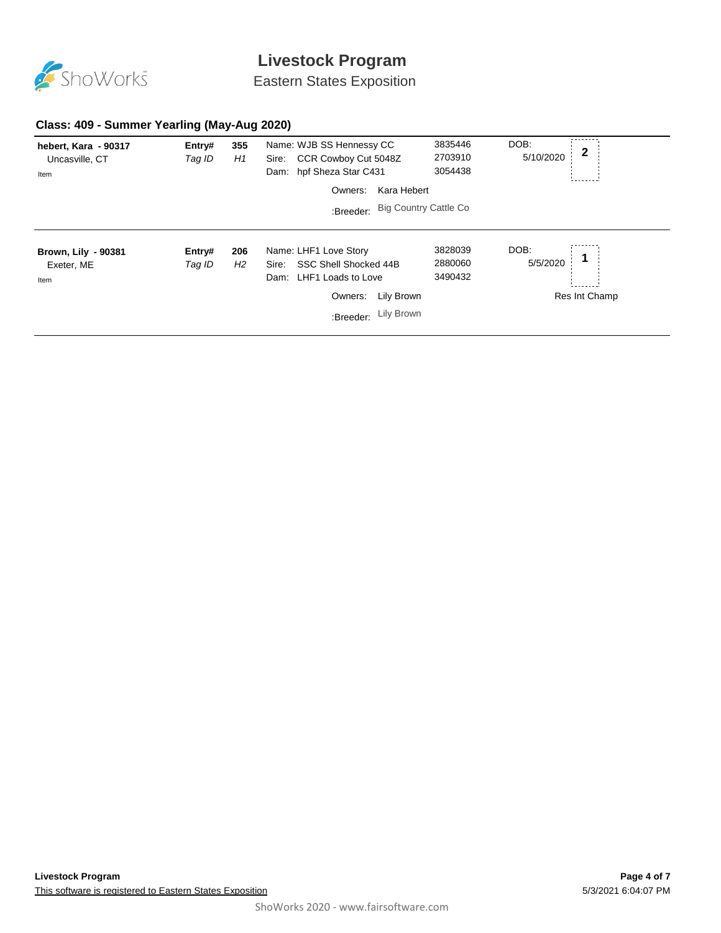

Eastern States Exposition

### **Class: 409 - Summer Yearling (May-Aug 2020)**

| hebert, Kara - 90317<br>Uncasville, CT<br>Item   | Entry#<br>Tag ID | 355<br>H1 | Name: WJB SS Hennessy CC<br>CCR Cowboy Cut 5048Z<br>Sire:<br>hpf Sheza Star C431<br>Dam: | 3835446<br>2703910<br>3054438 | DOB:<br>5/10/2020 | $\mathbf{2}$  |
|--------------------------------------------------|------------------|-----------|------------------------------------------------------------------------------------------|-------------------------------|-------------------|---------------|
|                                                  |                  |           | Kara Hebert<br>Owners:                                                                   |                               |                   |               |
|                                                  |                  |           | :Breeder: Big Country Cattle Co                                                          |                               |                   |               |
| <b>Brown, Lily - 90381</b><br>Exeter, ME<br>Item | Entry#<br>Tag ID | 206<br>H2 | Name: LHF1 Love Story<br>SSC Shell Shocked 44B<br>Sire:<br>LHF1 Loads to Love<br>Dam:    | 3828039<br>2880060<br>3490432 | DOB:<br>5/5/2020  |               |
|                                                  |                  |           | Lily Brown<br>Owners:                                                                    |                               |                   | Res Int Champ |
|                                                  |                  |           | :Breeder: Lily Brown                                                                     |                               |                   |               |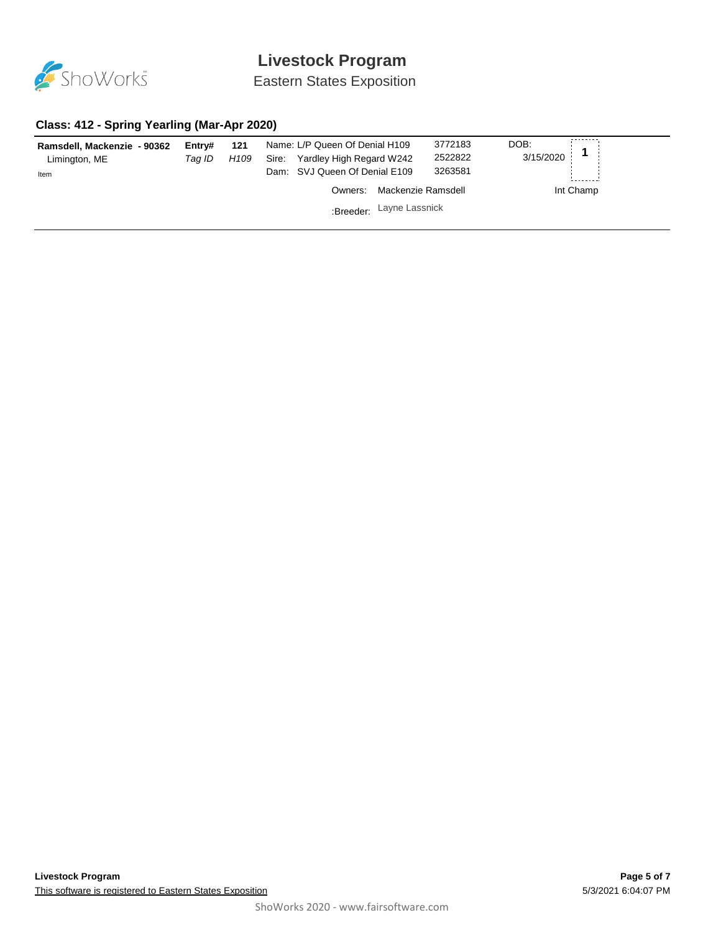

Eastern States Exposition

#### **Class: 412 - Spring Yearling (Mar-Apr 2020)**

| Ramsdell, Mackenzie - 90362<br>Limington, ME<br>Item | Entrv#<br>Taq ID | 121<br>H109 | Name: L/P Queen Of Denial H109<br>Yardley High Regard W242<br>Sire:<br>Dam: SVJ Queen Of Denial E109 | 3772183<br>2522822<br>3263581 | DOB:<br>3/15/2020 |
|------------------------------------------------------|------------------|-------------|------------------------------------------------------------------------------------------------------|-------------------------------|-------------------|
|                                                      |                  |             | Owners:                                                                                              | Mackenzie Ramsdell            | Int Champ         |
|                                                      |                  |             | :Breeder: Layne Lassnick                                                                             |                               |                   |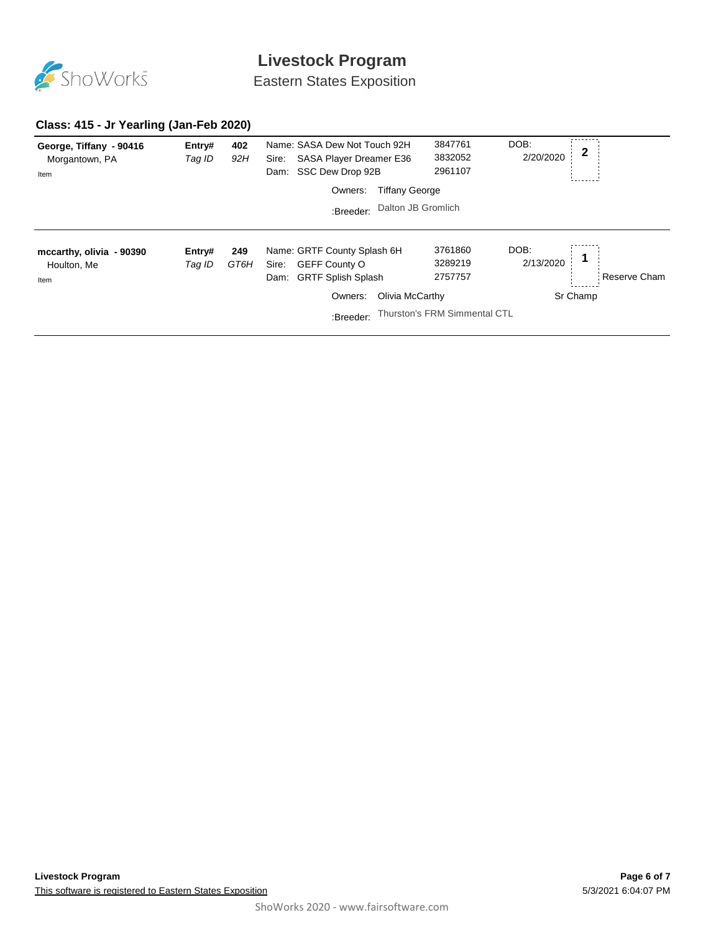

Eastern States Exposition

### **Class: 415 - Jr Yearling (Jan-Feb 2020)**

| George, Tiffany - 90416<br>Morgantown, PA<br>Item | Entry#<br>Tag ID | 402<br>92H  | Name: SASA Dew Not Touch 92H<br>SASA Player Dreamer E36<br>Sire:<br>SSC Dew Drop 92B<br>Dam:      | 3847761<br>3832052<br>2961107 | DOB:<br>2/20/2020 | 2 |              |
|---------------------------------------------------|------------------|-------------|---------------------------------------------------------------------------------------------------|-------------------------------|-------------------|---|--------------|
|                                                   |                  |             | <b>Tiffany George</b><br>Owners:                                                                  |                               |                   |   |              |
|                                                   |                  |             | Dalton JB Gromlich<br>:Breeder:                                                                   |                               |                   |   |              |
| mccarthy, olivia - 90390<br>Houlton, Me<br>Item   | Entry#<br>Tag ID | 249<br>GT6H | Name: GRTF County Splash 6H<br><b>GEFF County O</b><br>Sire:<br><b>GRTF Splish Splash</b><br>Dam: | 3761860<br>3289219<br>2757757 | DOB:<br>2/13/2020 |   | Reserve Cham |
|                                                   |                  |             | Olivia McCarthy<br>Owners:                                                                        |                               | Sr Champ          |   |              |
|                                                   |                  |             | :Breeder:                                                                                         | Thurston's FRM Simmental CTL  |                   |   |              |